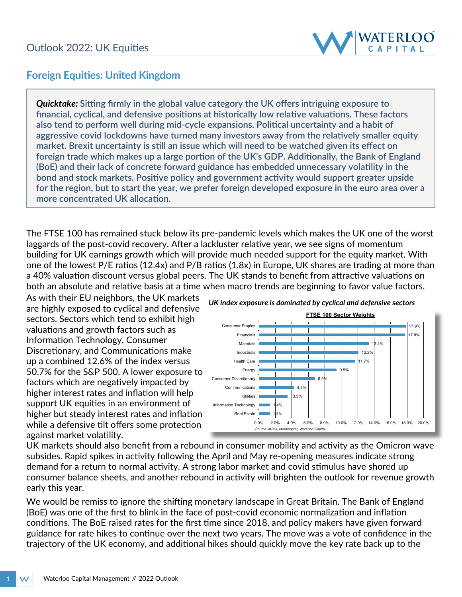

## **Foreign Equities: United Kingdom**

*Quicktake:* **Sitting firmly in the global value category the UK offers intriguing exposure to financial, cyclical, and defensive positions at historically low relative valuations. These factors also tend to perform well during mid-cycle expansions. Political uncertainty and a habit of aggressive covid lockdowns have turned many investors away from the relatively smaller equity market. Brexit uncertainty is still an issue which will need to be watched given its effect on foreign trade which makes up a large portion of the UK's GDP. Additionally, the Bank of England (BoE) and their lack of concrete forward guidance has embedded unnecessary volatility in the bond and stock markets. Positive policy and government activity would support greater upside for the region, but to start the year, we prefer foreign developed exposure in the euro area over a more concentrated UK allocation.** 

The FTSE 100 has remained stuck below its pre-pandemic levels which makes the UK one of the worst laggards of the post-covid recovery. After a lackluster relative year, we see signs of momentum building for UK earnings growth which will provide much needed support for the equity market. With one of the lowest P/E ratios (12.4x) and P/B ratios (1.8x) in Europe, UK shares are trading at more than a 40% valuation discount versus global peers. The UK stands to benefit from attractive valuations on both an absolute and relative basis at a time when macro trends are beginning to favor value factors.

As with their EU neighbors, the UK markets are highly exposed to cyclical and defensive sectors. Sectors which tend to exhibit high valuations and growth factors such as Information Technology, Consumer Discretionary, and Communications make up a combined 12.6% of the index versus 50.7% for the S&P 500. A lower exposure to factors which are negatively impacted by higher interest rates and inflation will help support UK equities in an environment of higher but steady interest rates and inflation while a defensive tilt offers some protection against market volatility.



UK markets should also benefit from a rebound in consumer mobility and activity as the Omicron wave subsides. Rapid spikes in activity following the April and May re-opening measures indicate strong demand for a return to normal activity. A strong labor market and covid stimulus have shored up consumer balance sheets, and another rebound in activity will brighten the outlook for revenue growth early this year.

We would be remiss to ignore the shifting monetary landscape in Great Britain. The Bank of England (BoE) was one of the first to blink in the face of post-covid economic normalization and inflation conditions. The BoE raised rates for the first time since 2018, and policy makers have given forward guidance for rate hikes to continue over the next two years. The move was a vote of confidence in the trajectory of the UK economy, and additional hikes should quickly move the key rate back up to the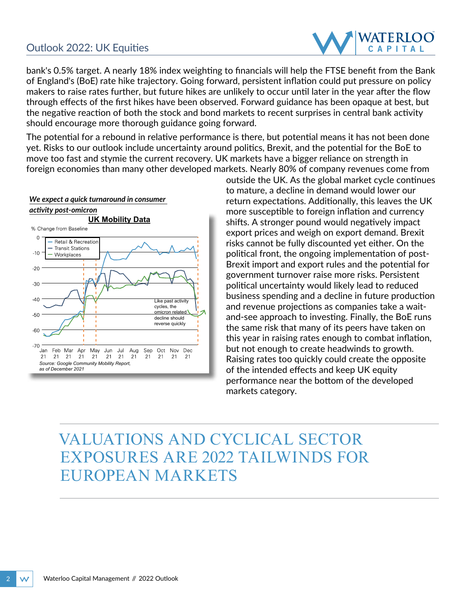## Outlook 2022: UK Equities



bank's 0.5% target. A nearly 18% index weighting to financials will help the FTSE benefit from the Bank of England's (BoE) rate hike trajectory. Going forward, persistent inflation could put pressure on policy makers to raise rates further, but future hikes are unlikely to occur until later in the year after the flow through effects of the first hikes have been observed. Forward guidance has been opaque at best, but the negative reaction of both the stock and bond markets to recent surprises in central bank activity should encourage more thorough guidance going forward.

The potential for a rebound in relative performance is there, but potential means it has not been done yet. Risks to our outlook include uncertainty around politics, Brexit, and the potential for the BoE to move too fast and stymie the current recovery. UK markets have a bigger reliance on strength in foreign economies than many other developed markets. Nearly 80% of company revenues come from



outside the UK. As the global market cycle continues to mature, a decline in demand would lower our return expectations. Additionally, this leaves the UK more susceptible to foreign inflation and currency shifts. A stronger pound would negatively impact export prices and weigh on export demand. Brexit risks cannot be fully discounted yet either. On the political front, the ongoing implementation of post-Brexit import and export rules and the potential for government turnover raise more risks. Persistent political uncertainty would likely lead to reduced business spending and a decline in future production and revenue projections as companies take a waitand-see approach to investing. Finally, the BoE runs the same risk that many of its peers have taken on this year in raising rates enough to combat inflation, but not enough to create headwinds to growth. Raising rates too quickly could create the opposite of the intended effects and keep UK equity performance near the bottom of the developed markets category.

## VALUATIONS AND CYCLICAL SECTOR EXPOSURES ARE 2022 TAILWINDS FOR EUROPEAN MARKETS